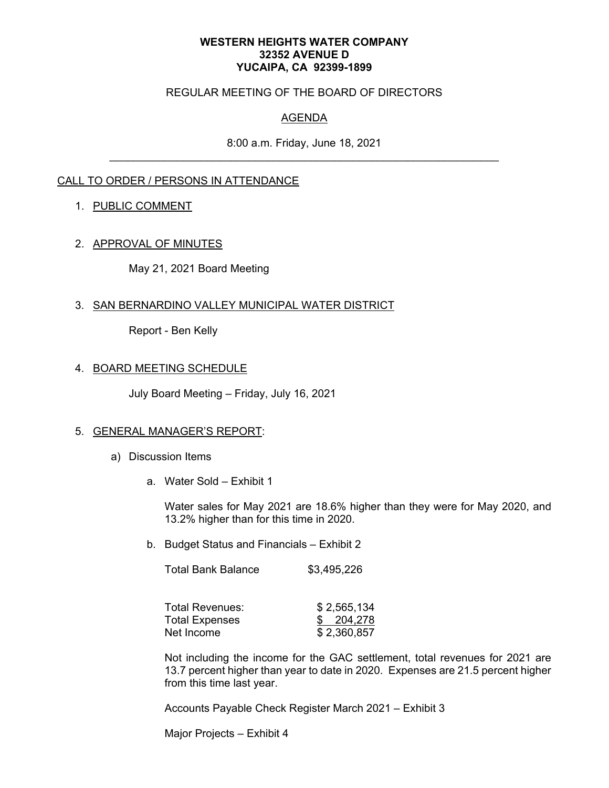#### **WESTERN HEIGHTS WATER COMPANY 32352 AVENUE D YUCAIPA, CA 92399-1899**

### REGULAR MEETING OF THE BOARD OF DIRECTORS

## AGENDA

8:00 a.m. Friday, June 18, 2021

### CALL TO ORDER / PERSONS IN ATTENDANCE

### 1. PUBLIC COMMENT

### 2. APPROVAL OF MINUTES

May 21, 2021 Board Meeting

### 3. SAN BERNARDINO VALLEY MUNICIPAL WATER DISTRICT

Report - Ben Kelly

### 4. BOARD MEETING SCHEDULE

July Board Meeting – Friday, July 16, 2021

#### 5. GENERAL MANAGER'S REPORT:

- a) Discussion Items
	- a. Water Sold Exhibit 1

Water sales for May 2021 are 18.6% higher than they were for May 2020, and 13.2% higher than for this time in 2020.

b. Budget Status and Financials – Exhibit 2

Total Bank Balance \$3,495,226

| Total Revenues: | \$2,565,134 |
|-----------------|-------------|
| Total Expenses  | \$204,278   |
| Net Income      | \$2,360,857 |

Not including the income for the GAC settlement, total revenues for 2021 are 13.7 percent higher than year to date in 2020. Expenses are 21.5 percent higher from this time last year.

Accounts Payable Check Register March 2021 – Exhibit 3

Major Projects – Exhibit 4